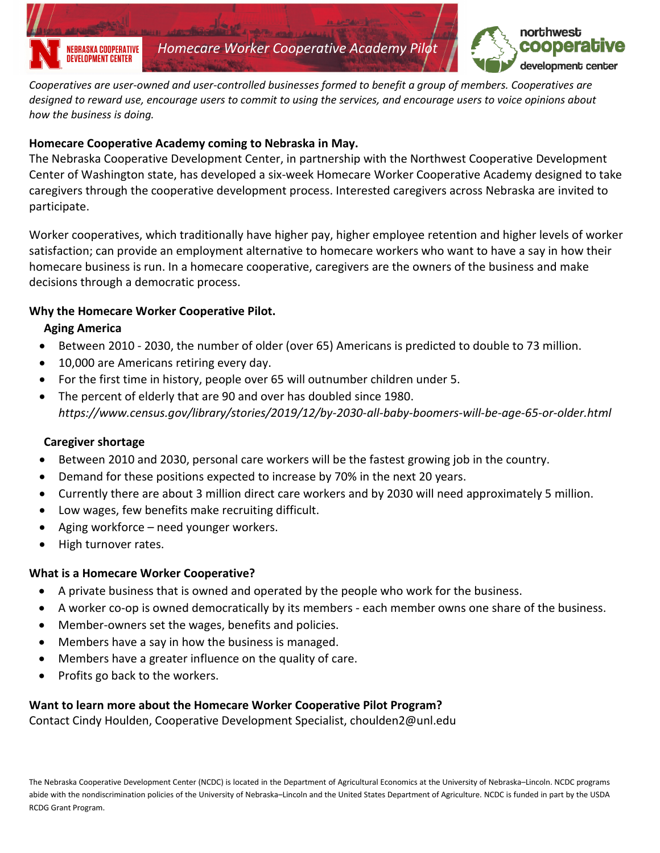



*Cooperatives are user-owned and user-controlled businesses formed to benefit a group of members. Cooperatives are designed to reward use, encourage users to commit to using the services, and encourage users to voice opinions about how the business is doing.* 

#### **Homecare Cooperative Academy coming to Nebraska in May.**

The Nebraska Cooperative Development Center, in partnership with the Northwest Cooperative Development Center of Washington state, has developed a six-week Homecare Worker Cooperative Academy designed to take caregivers through the cooperative development process. Interested caregivers across Nebraska are invited to participate.

Worker cooperatives, which traditionally have higher pay, higher employee retention and higher levels of worker satisfaction; can provide an employment alternative to homecare workers who want to have a say in how their homecare business is run. In a homecare cooperative, caregivers are the owners of the business and make decisions through a democratic process.

### **Why the Homecare Worker Cooperative Pilot.**

#### **Aging America**

- Between 2010 2030, the number of older (over 65) Americans is predicted to double to 73 million.
- 10,000 are Americans retiring every day.
- For the first time in history, people over 65 will outnumber children under 5.
- The percent of elderly that are 90 and over has doubled since 1980. *https://www.census.gov/library/stories/2019/12/by-2030-all-baby-boomers-will-be-age-65-or-older.html*

### **Caregiver shortage**

- Between 2010 and 2030, personal care workers will be the fastest growing job in the country.
- Demand for these positions expected to increase by 70% in the next 20 years.
- Currently there are about 3 million direct care workers and by 2030 will need approximately 5 million.
- Low wages, few benefits make recruiting difficult.
- Aging workforce need younger workers.
- High turnover rates.

### **What is a Homecare Worker Cooperative?**

- A private business that is owned and operated by the people who work for the business.
- A worker co-op is owned democratically by its members each member owns one share of the business.
- Member-owners set the wages, benefits and policies.
- Members have a say in how the business is managed.
- Members have a greater influence on the quality of care.
- Profits go back to the workers.

### **Want to learn more about the Homecare Worker Cooperative Pilot Program?**

Contact Cindy Houlden, Cooperative Development Specialist, choulden2@unl.edu